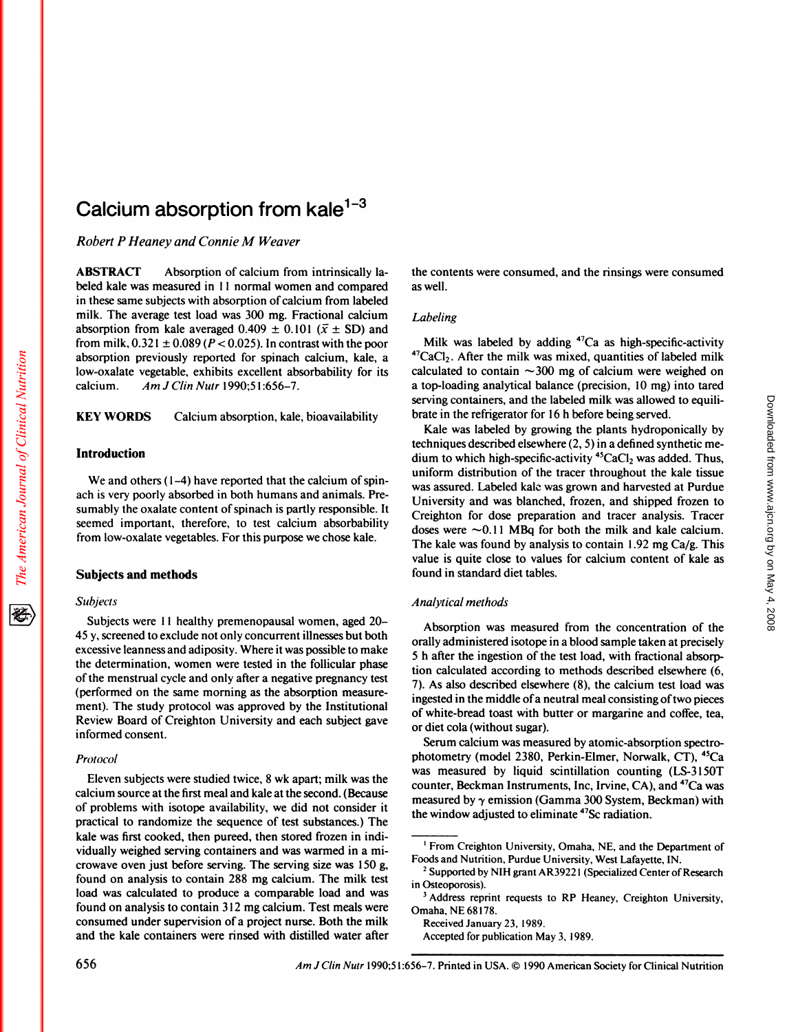# Calcium absorption from kale $1-3$

*Robert P Heaney and Connie M Weaver*

ABSTRACT Absorption of calcium from intrinsically la beled kale was measured in 11 normal women and compared in these same subjects with absorption of calcium from labeled milk. The average test load was 300 mg. Fractional calcium absorption from kale averaged 0.409  $\pm$  0.101 ( $\bar{x} \pm$  SD) and from milk,  $0.321 \pm 0.089$  ( $P < 0.025$ ). In contrast with the poor absorption previously reported for spinach calcium, kale, a bow-oxalate vegetable, exhibits excellent absorbability for its calcium. *Am J Clin Nutr* 1990;51:656-7.

KEY WORDS Calcium absorption, kale, bioavailability

# Introduction

The American Journal of Clinical Nutrition

We and others (1-4) have reported that the calcium of spinach is very poorly absorbed in both humans and animals. Presumably the oxalate content of spinach is partly responsible. It seemed important, therefore, to test calcium absorbability from low-oxalate vegetables. For this purpose we chose kale.

## Subjects and methods

#### *Subjects*

Subjects were 11 healthy premenopausal women, aged 20-45 y, screened to exclude not only concurrent illnesses but both excessive leanness and adiposity. Where it was possible to make the determination, women were tested in the follicular phase of the menstrual cycle and only after a negative pregnancy test (performed on the same morning as the absorption measure ment). The study protocol was approved by the Institutional Review Board of Creighton University and each subject gave informed consent.

#### *Protocol*

Eleven subjects were studied twice, 8 wk apart; milk was the calcium source at the first meal and kale at the second. (Because of problems with isotope availability, we did not consider it practical to randomize the sequence of test substances.) The kale was first cooked, then pureed, then stored frozen in individually weighed serving containers and was warmed in a mi crowave oven just before serving. The serving size was 150 g, found on analysis to contain 288 mg calcium. The milk test load was calculated to produce a comparable load and was found on analysis to contain 3 12 mg calcium. Test meals were consumed under supervision of a project nurse. Both the milk and the kale containers were rinsed with distilled water after the contents were consumed, and the rinsings were consumed as well.

# *Labeling*

Milk was labeled by adding  $47Ca$  as high-specific-activity  $47$ CaCl<sub>2</sub>. After the milk was mixed, quantities of labeled milk calculated to contain  $\sim$ 300 mg of calcium were weighed on a top-loading analytical balance (precision, 10 mg) into tared serving containers, and the labeled milk was allowed to equilibrate in the refrigerator for 16 h before being served.

Kale was labeled by growing the plants hydroponically by techniques described elsewhere (2, 5) in a defined synthetic me dium to which high-specific-activity  $45CaCl<sub>2</sub>$  was added. Thus, uniform distribution of the tracer throughout the kale tissue was assured. Labeled kale was grown and harvested at Purdue University and was blanched, frozen, and shipped frozen to Creighton for dose preparation and tracer analysis. Tracer doses were  $\sim$  0.11 MBq for both the milk and kale calcium. The kale was found by analysis to contain 1.92 mg Ca/g. This value is quite close to values for calcium content of kale as found in standard diet tables.

#### *Analytical methods*

Absorption was measured from the concentration of the orally administered isotope in a blood sample taken at precisely 5 h after the ingestion of the test load, with fractional absorption calculated according to methods described elsewhere (6, 7). As also described elsewhere (8), the calcium test load was ingested in the middle of a neutral meal consisting of two pieces of white-bread toast with butter or margarine and coffee, tea, or diet cola (without sugar).

Serum calcium was measured by atomic-absorption spectrophotometry (model 2380, Perkin-Elmer, Norwalk, CT), <sup>45</sup>Ca was measured by liquid scintillation counting (LS-3150T) counter, Beckman Instruments, Inc, Irvine, CA), and 47Ca was measured by  $\gamma$  emission (Gamma 300 System, Beckman) with the window adjusted to eliminate 47Sc radiation.

Received January 23, 1989.

Accepted for publication May 3, 1989.

<sup>&</sup>lt;sup>1</sup> From Creighton University, Omaha, NE, and the Department of Foods and Nutrition, Purdue University, West Lafayette, IN.

<sup>&</sup>lt;sup>2</sup> Supported by NIH grant AR39221 (Specialized Center of Research in Osteoporosis).

**<sup>3</sup>** Address reprint requests to RP Heaney, Creighton University, Omaha, NE 68178.